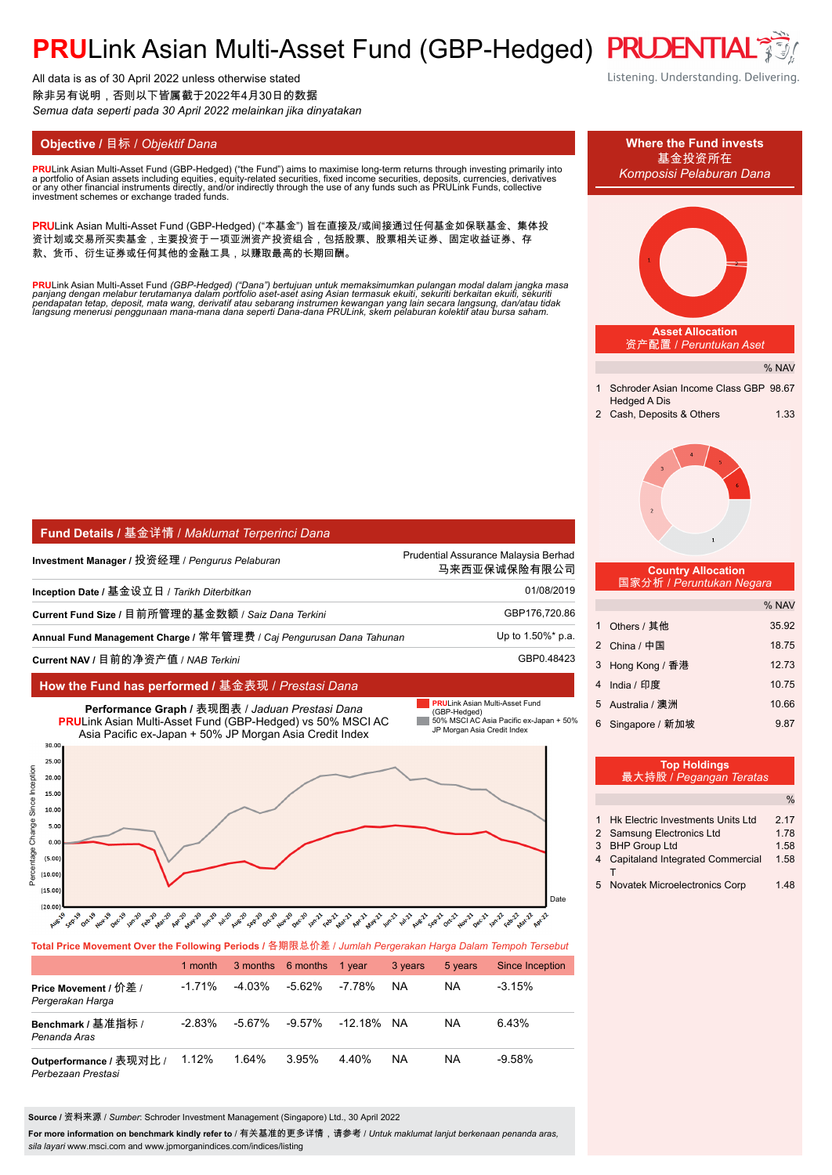# **PRULink Asian Multi-Asset Fund (GBP-Hedged) PRUDENTIA**

All data is as of 30 April 2022 unless otherwise stated 除非另有说明,否则以下皆属截于2022年4月30日的数据 *Semua data seperti pada 30 April 2022 melainkan jika dinyatakan*

**PRU**Link Asian Multi-Asset Fund (GBP-Hedged) ("the Fund") aims to maximise long-term returns through investing primarily into<br>a nortfolio of Asian assets including equities, equity-related securities, fixed income securit a portfolio of Asian assets including equities, equity-related securities, fixed income securities, deposits, currencies, derivatives<br>or any other financial instruments directly, and/or indirectly through the use of any fu

PRULink Asian Multi-Asset Fund (GBP-Hedged) ("本基金") 旨在直接及/或间接通过任何基金如保联基金、集体投 资计划或交易所买卖基金,主要投资于一项亚洲资产投资组合,包括股票、股票相关证券、固定收益证券、存 款、货币、衍生证券或任何其他的金融工具,以赚取最高的长期回酬。

<mark>PRU</mark>Link Asian Multi-Asset Fund (GBP-Hedged) ("Dana") bertujuan untuk memaksimumkan pulangan modal dalam jangka masa<br>panjang dengan melabur terutamanya dalam portfolio aset-aset asing Asian termasuk ekuiti, sekuriti berka

| Fund Details / 基金详情 / Maklumat Terperinci Dana                      |                                                      |  |  |
|---------------------------------------------------------------------|------------------------------------------------------|--|--|
| Investment Manager / 投资经理 / <i>Penqurus Pelaburan</i>               | Prudential Assurance Malaysia Berhad<br>马来西亚保诚保险有限公司 |  |  |
| Inception Date / 基金设立日 / <i>Tarikh Diterbitkan</i>                  | 01/08/2019                                           |  |  |
| Current Fund Size / 目前所管理的基金数额 / Saiz Dana Terkini                  | GBP176,720.86                                        |  |  |
| Annual Fund Management Charge / 常年管理费 / Caj Pengurusan Dana Tahunan | Up to 1.50%* p.a.                                    |  |  |
| Current NAV / 目前的净资产值 / NAB Terkini                                 | GBP0.48423                                           |  |  |

### **How the Fund has performed /** 基金表现 / *Prestasi Dana*



**Total Price Movement Over the Following Periods /** 各期限总价差 / *Jumlah Pergerakan Harga Dalam Tempoh Tersebut*

|                                               | 1 month  |           | 3 months 6 months | 1 vear     | 3 years   | 5 years   | Since Inception |
|-----------------------------------------------|----------|-----------|-------------------|------------|-----------|-----------|-----------------|
| Price Movement / 价差 /<br>Pergerakan Harga     | $-1.71%$ | $-4.03\%$ | -5.62%            | -7.78%     | <b>NA</b> | <b>NA</b> | $-3.15\%$       |
| Benchmark / 基准指标 /<br>Penanda Aras            | $-2.83%$ | -5.67%    | $-9.57\%$         | -12.18% NA |           | <b>NA</b> | 6.43%           |
| Outperformance / 表现对比 /<br>Perbezaan Prestasi | 1.12%    | 1.64%     | 3.95%             | 440%       | <b>NA</b> | <b>NA</b> | $-9.58%$        |

**Source /** 资料来源 / *Sumber*: Schroder Investment Management (Singapore) Ltd., 30 April 2022

For more information on benchmark kindly refer to / 有关基准的更多详情,请参考 / *Untuk maklumat lanjut berkenaan penanda aras*, *sila layari* www.msci.com and www.jpmorganindices.com/indices/listing

Listening. Understanding. Delivering.

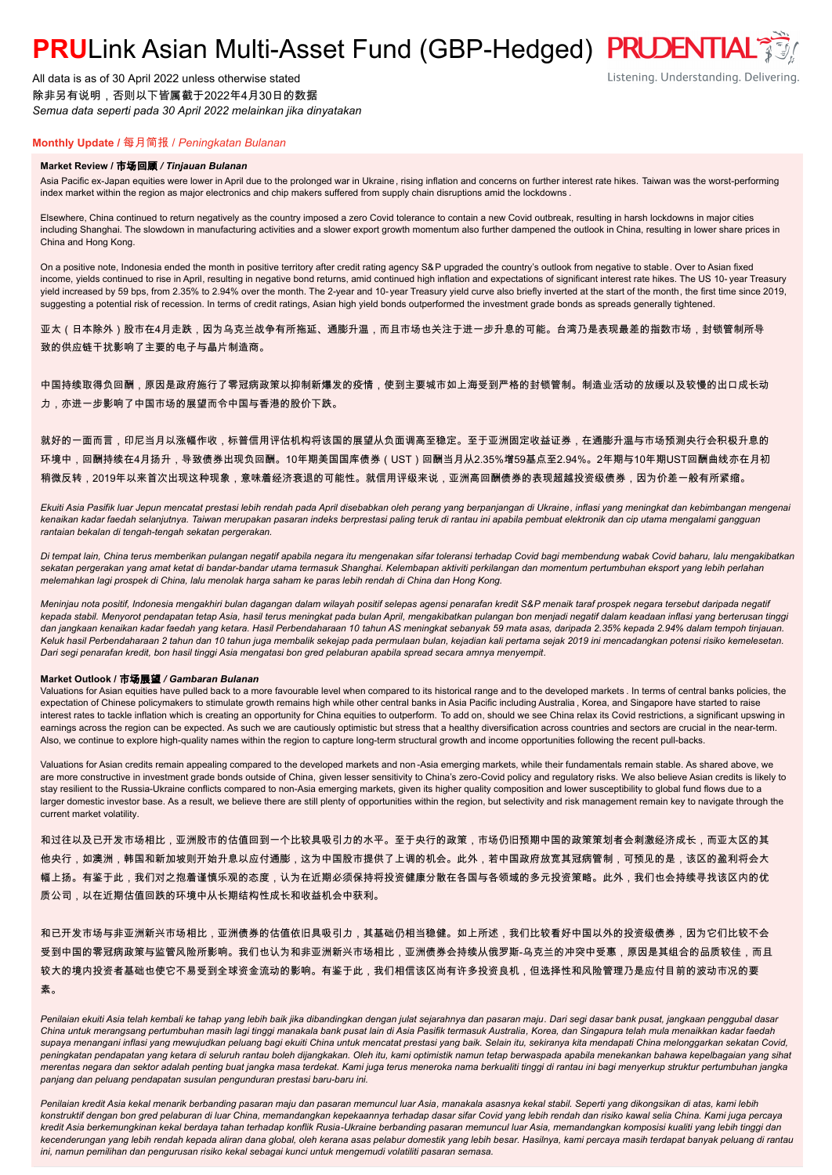# **PRULink Asian Multi-Asset Fund (GBP-Hedged) PRUDENTIAL<sup>7</sup>**

All data is as of 30 April 2022 unless otherwise stated 除非另有说明,否则以下皆属截于2022年4月30日的数据 *Semua data seperti pada 30 April 2022 melainkan jika dinyatakan*

### Listening. Understanding. Delivering.

### **Monthly Update /** 每月简报 / *Peningkatan Bulanan*

#### **Market Review /** 市场回顾 */ Tinjauan Bulanan*

Asia Pacific ex-Japan equities were lower in April due to the prolonged war in Ukraine, rising inflation and concerns on further interest rate hikes. Taiwan was the worst-performing index market within the region as major electronics and chip makers suffered from supply chain disruptions amid the lockdowns .

Elsewhere, China continued to return negatively as the country imposed a zero Covid tolerance to contain a new Covid outbreak, resulting in harsh lockdowns in major cities including Shanghai. The slowdown in manufacturing activities and a slower export growth momentum also further dampened the outlook in China, resulting in lower share prices in China and Hong Kong.

On a positive note, Indonesia ended the month in positive territory after credit rating agency S&P upgraded the country's outlook from negative to stable. Over to Asian fixed income, yields continued to rise in April, resulting in negative bond returns, amid continued high inflation and expectations of significant interest rate hikes. The US 10- year Treasury yield increased by 59 bps, from 2.35% to 2.94% over the month. The 2-year and 10-year Treasury yield curve also briefly inverted at the start of the month, the first time since 2019, suggesting a potential risk of recession. In terms of credit ratings, Asian high yield bonds outperformed the investment grade bonds as spreads generally tightened.

亚太(日本除外)股市在4月走跌,因为乌克兰战争有所拖延、通膨升温,而且市场也关注于进一步升息的可能。台湾乃是表现最差的指数市场,封锁管制所导 致的供应链干扰影响了主要的电子与晶片制造商。

中国持续取得负回酬,原因是政府施行了零冠病政策以抑制新爆发的疫情,使到主要城市如上海受到严格的封锁管制。制造业活动的放缓以及较慢的出口成长动 力,亦进一步影响了中国市场的展望而令中国与香港的股价下跌。

就好的一面而言,印尼当月以涨幅作收,标普信用评估机构将该国的展望从负面调高至稳定。至于亚洲固定收益证券,在通膨升温与市场预测央行会积极升息的 环境中,回酬持续在4月扬升,导致债券出现负回酬。10年期美国国库债券(UST)回酬当月从2.35%增59基点至2.94%。2年期与10年期UST回酬曲线亦在月初 稍微反转,2019年以来首次出现这种现象,意味着经济衰退的可能性。就信用评级来说,亚洲高回酬债券的表现超越投资级债券,因为价差一般有所紧缩。

*Ekuiti Asia Pasifik luar Jepun mencatat prestasi lebih rendah pada April disebabkan oleh perang yang berpanjangan di Ukraine, inflasi yang meningkat dan kebimbangan mengenai kenaikan kadar faedah selanjutnya. Taiwan merupakan pasaran indeks berprestasi paling teruk di rantau ini apabila pembuat elektronik dan cip utama mengalami gangguan rantaian bekalan di tengah-tengah sekatan pergerakan.*

*Di tempat lain, China terus memberikan pulangan negatif apabila negara itu mengenakan sifar toleransi terhadap Covid bagi membendung wabak Covid baharu, lalu mengakibatkan sekatan pergerakan yang amat ketat di bandar-bandar utama termasuk Shanghai. Kelembapan aktiviti perkilangan dan momentum pertumbuhan eksport yang lebih perlahan melemahkan lagi prospek di China, lalu menolak harga saham ke paras lebih rendah di China dan Hong Kong.*

*Meninjau nota positif, Indonesia mengakhiri bulan dagangan dalam wilayah positif selepas agensi penarafan kredit S&P menaik taraf prospek negara tersebut daripada negatif kepada stabil. Menyorot pendapatan tetap Asia, hasil terus meningkat pada bulan April, mengakibatkan pulangan bon menjadi negatif dalam keadaan inflasi yang berterusan tinggi dan jangkaan kenaikan kadar faedah yang ketara. Hasil Perbendaharaan 10 tahun AS meningkat sebanyak 59 mata asas, daripada 2.35% kepada 2.94% dalam tempoh tinjauan. Keluk hasil Perbendaharaan 2 tahun dan 10 tahun juga membalik sekejap pada permulaan bulan, kejadian kali pertama sejak 2019 ini mencadangkan potensi risiko kemelesetan. Dari segi penarafan kredit, bon hasil tinggi Asia mengatasi bon gred pelaburan apabila spread secara amnya menyempit.*

#### **Market Outlook /** 市场展望 */ Gambaran Bulanan*

Valuations for Asian equities have pulled back to a more favourable level when compared to its historical range and to the developed markets . In terms of central banks policies, the expectation of Chinese policymakers to stimulate growth remains high while other central banks in Asia Pacific including Australia , Korea, and Singapore have started to raise interest rates to tackle inflation which is creating an opportunity for China equities to outperform. To add on, should we see China relax its Covid restrictions, a significant upswing in earnings across the region can be expected. As such we are cautiously optimistic but stress that a healthy diversification across countries and sectors are crucial in the near-term. Also, we continue to explore high-quality names within the region to capture long-term structural growth and income opportunities following the recent pull-backs.

Valuations for Asian credits remain appealing compared to the developed markets and non -Asia emerging markets, while their fundamentals remain stable. As shared above, we are more constructive in investment grade bonds outside of China, given lesser sensitivity to China's zero-Covid policy and regulatory risks. We also believe Asian credits is likely to stay resilient to the Russia-Ukraine conflicts compared to non-Asia emerging markets, given its higher quality composition and lower susceptibility to global fund flows due to a larger domestic investor base. As a result, we believe there are still plenty of opportunities within the region, but selectivity and risk management remain key to navigate through the current market volatility.

和过往以及已开发市场相比,亚洲股市的估值回到一个比较具吸引力的水平。至于央行的政策,市场仍旧预期中国的政策策划者会刺激经济成长,而亚太区的其 他央行,如澳洲,韩国和新加坡则开始升息以应付通膨,这为中国股市提供了上调的机会。此外,若中国政府放宽其冠病管制,可预见的是,该区的盈利将会大 幅上扬。有鉴于此,我们对之抱着谨慎乐观的态度,认为在近期必须保持将投资健康分散在各国与各领域的多元投资策略。此外,我们也会持续寻找该区内的优 质公司,以在近期估值回跌的环境中从长期结构性成长和收益机会中获利。

和已开发市场与非亚洲新兴市场相比,亚洲债券的估值依旧具吸引力,其基础仍相当稳健。如上所述,我们比较看好中国以外的投资级债券,因为它们比较不会 受到中国的零冠病政策与监管风险所影响。我们也认为和非亚洲新兴市场相比,亚洲债券会持续从俄罗斯-乌克兰的冲突中受惠,原因是其组合的品质较佳,而且 较大的境内投资者基础也使它不易受到全球资金流动的影响。有鉴于此,我们相信该区尚有许多投资良机,但选择性和风险管理乃是应付目前的波动市况的要 素。

Penilaian ekuiti Asia telah kembali ke tahap yang lebih baik jika dibandingkan dengan julat sejarahnya dan pasaran maju. Dari segi dasar bank pusat, jangkaan penggubal dasar *China untuk merangsang pertumbuhan masih lagi tinggi manakala bank pusat lain di Asia Pasifik termasuk Australia, Korea, dan Singapura telah mula menaikkan kadar faedah supaya menangani inflasi yang mewujudkan peluang bagi ekuiti China untuk mencatat prestasi yang baik. Selain itu, sekiranya kita mendapati China melonggarkan sekatan Covid, peningkatan pendapatan yang ketara di seluruh rantau boleh dijangkakan. Oleh itu, kami optimistik namun tetap berwaspada apabila menekankan bahawa kepelbagaian yang sihat merentas negara dan sektor adalah penting buat jangka masa terdekat. Kami juga terus meneroka nama berkualiti tinggi di rantau ini bagi menyerkup struktur pertumbuhan jangka panjang dan peluang pendapatan susulan pengunduran prestasi baru-baru ini.*

*Penilaian kredit Asia kekal menarik berbanding pasaran maju dan pasaran memuncul luar Asia, manakala asasnya kekal stabil. Seperti yang dikongsikan di atas, kami lebih konstruktif dengan bon gred pelaburan di luar China, memandangkan kepekaannya terhadap dasar sifar Covid yang lebih rendah dan risiko kawal selia China. Kami juga percaya kredit Asia berkemungkinan kekal berdaya tahan terhadap konflik Rusia-Ukraine berbanding pasaran memuncul luar Asia, memandangkan komposisi kualiti yang lebih tinggi dan kecenderungan yang lebih rendah kepada aliran dana global, oleh kerana asas pelabur domestik yang lebih besar. Hasilnya, kami percaya masih terdapat banyak peluang di rantau ini, namun pemilihan dan pengurusan risiko kekal sebagai kunci untuk mengemudi volatiliti pasaran semasa.*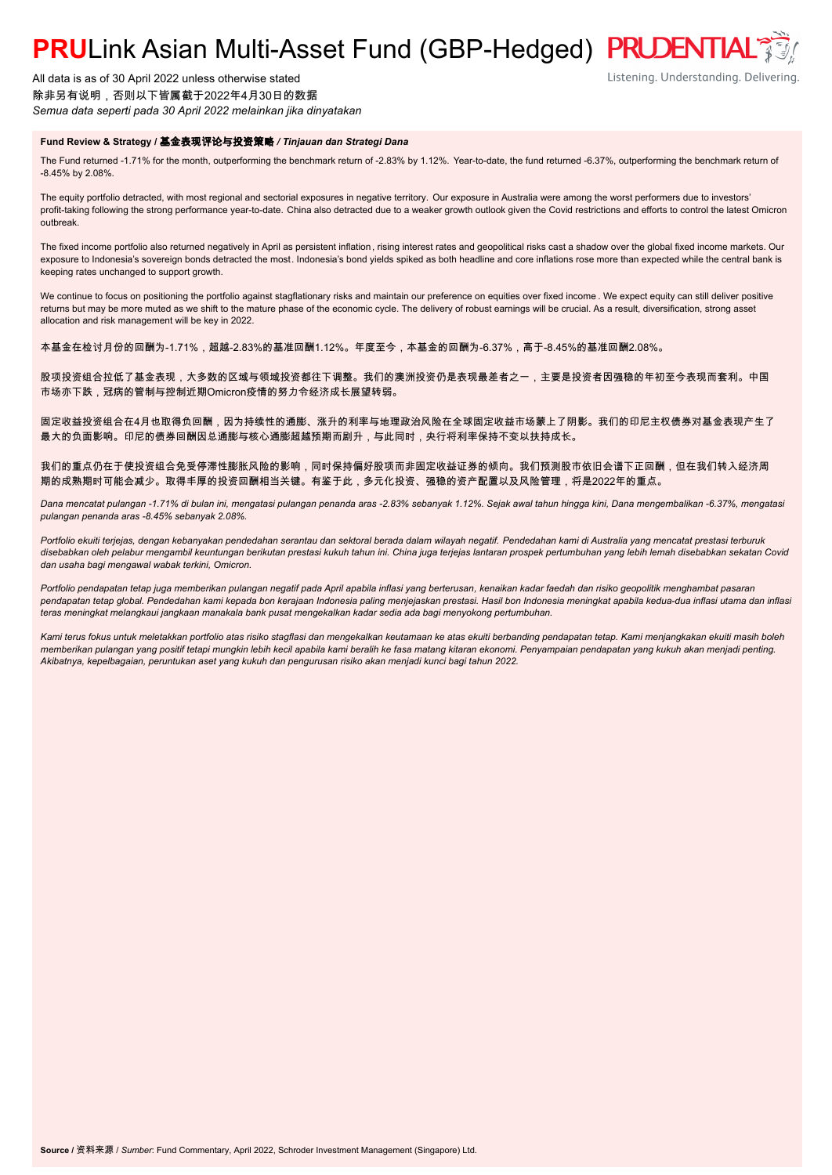# **PRULink Asian Multi-Asset Fund (GBP-Hedged) PRUDENTIAL<sup>3</sup>**

All data is as of 30 April 2022 unless otherwise stated 除非另有说明,否则以下皆属截于2022年4月30日的数据 *Semua data seperti pada 30 April 2022 melainkan jika dinyatakan*

### **Fund Review & Strategy /** 基金表现评论与投资策略 */ Tinjauan dan Strategi Dana*

The Fund returned -1.71% for the month, outperforming the benchmark return of -2.83% by 1.12%. Year-to-date, the fund returned -6.37%, outperforming the benchmark return of -8.45% by 2.08%.

The equity portfolio detracted, with most regional and sectorial exposures in negative territory. Our exposure in Australia were among the worst performers due to investors' profit-taking following the strong performance year-to-date. China also detracted due to a weaker growth outlook given the Covid restrictions and efforts to control the latest Omicron outbreak.

The fixed income portfolio also returned negatively in April as persistent inflation, rising interest rates and geopolitical risks cast a shadow over the global fixed income markets. Our exposure to Indonesia's sovereign bonds detracted the most. Indonesia's bond yields spiked as both headline and core inflations rose more than expected while the central bank is keeping rates unchanged to support growth.

We continue to focus on positioning the portfolio against stagflationary risks and maintain our preference on equities over fixed income . We expect equity can still deliver positive returns but may be more muted as we shift to the mature phase of the economic cycle. The delivery of robust earnings will be crucial. As a result, diversification, strong asset allocation and risk management will be key in 2022.

本基金在检讨月份的回酬为-1.71%,超越-2.83%的基准回酬1.12%。年度至今,本基金的回酬为-6.37%,高于-8.45%的基准回酬2.08%。

股项投资组合拉低了基金表现,大多数的区域与领域投资都往下调整。我们的澳洲投资仍是表现最差者之一,主要是投资者因强稳的年初至今表现而套利。中国 市场亦下跌,冠病的管制与控制近期Omicron疫情的努力令经济成长展望转弱。

固定收益投资组合在4月也取得负回酬,因为持续性的通膨、涨升的利率与地理政治风险在全球固定收益市场蒙上了阴影。我们的印尼主权债券对基金表现产生了 最大的负面影响。印尼的债券回酬因总通膨与核心通膨超越预期而剧升,与此同时,央行将利率保持不变以扶持成长。

我们的重点仍在于使投资组合免受停滞性膨胀风险的影响,同时保持偏好股项而非固定收益证券的倾向。我们预测股市依旧会谱下正回酬,但在我们转入经济周 期的成熟期时可能会减少。取得丰厚的投资回酬相当关键。有鉴于此,多元化投资、强稳的资产配置以及风险管理,将是2022年的重点。

*Dana mencatat pulangan -1.71% di bulan ini, mengatasi pulangan penanda aras -2.83% sebanyak 1.12%. Sejak awal tahun hingga kini, Dana mengembalikan -6.37%, mengatasi pulangan penanda aras -8.45% sebanyak 2.08%.*

*Portfolio ekuiti terjejas, dengan kebanyakan pendedahan serantau dan sektoral berada dalam wilayah negatif. Pendedahan kami di Australia yang mencatat prestasi terburuk disebabkan oleh pelabur mengambil keuntungan berikutan prestasi kukuh tahun ini. China juga terjejas lantaran prospek pertumbuhan yang lebih lemah disebabkan sekatan Covid dan usaha bagi mengawal wabak terkini, Omicron.*

*Portfolio pendapatan tetap juga memberikan pulangan negatif pada April apabila inflasi yang berterusan, kenaikan kadar faedah dan risiko geopolitik menghambat pasaran pendapatan tetap global. Pendedahan kami kepada bon kerajaan Indonesia paling menjejaskan prestasi. Hasil bon Indonesia meningkat apabila kedua-dua inflasi utama dan inflasi teras meningkat melangkaui jangkaan manakala bank pusat mengekalkan kadar sedia ada bagi menyokong pertumbuhan.*

*Kami terus fokus untuk meletakkan portfolio atas risiko stagflasi dan mengekalkan keutamaan ke atas ekuiti berbanding pendapatan tetap. Kami menjangkakan ekuiti masih boleh memberikan pulangan yang positif tetapi mungkin lebih kecil apabila kami beralih ke fasa matang kitaran ekonomi. Penyampaian pendapatan yang kukuh akan menjadi penting. Akibatnya, kepelbagaian, peruntukan aset yang kukuh dan pengurusan risiko akan menjadi kunci bagi tahun 2022.*